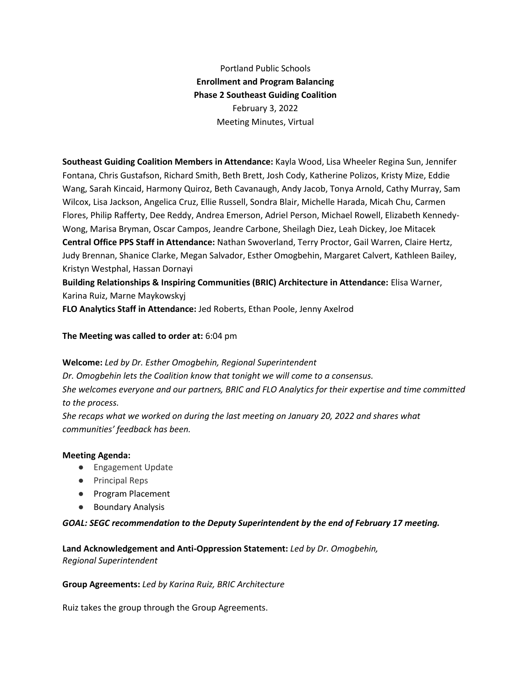Portland Public Schools **Enrollment and Program Balancing Phase 2 Southeast Guiding Coalition** February 3, 2022 Meeting Minutes, Virtual

**Southeast Guiding Coalition Members in Attendance:** Kayla Wood, Lisa Wheeler Regina Sun, Jennifer Fontana, Chris Gustafson, Richard Smith, Beth Brett, Josh Cody, Katherine Polizos, Kristy Mize, Eddie Wang, Sarah Kincaid, Harmony Quiroz, Beth Cavanaugh, Andy Jacob, Tonya Arnold, Cathy Murray, Sam Wilcox, Lisa Jackson, Angelica Cruz, Ellie Russell, Sondra Blair, Michelle Harada, Micah Chu, Carmen Flores, Philip Rafferty, Dee Reddy, Andrea Emerson, Adriel Person, Michael Rowell, Elizabeth Kennedy-Wong, Marisa Bryman, Oscar Campos, Jeandre Carbone, Sheilagh Diez, Leah Dickey, Joe Mitacek **Central Office PPS Staff in Attendance:** Nathan Swoverland, Terry Proctor, Gail Warren, Claire Hertz, Judy Brennan, Shanice Clarke, Megan Salvador, Esther Omogbehin, Margaret Calvert, Kathleen Bailey, Kristyn Westphal, Hassan Dornayi

**Building Relationships & Inspiring Communities (BRIC) Architecture in Attendance:** Elisa Warner, Karina Ruiz, Marne Maykowskyj

**FLO Analytics Staff in Attendance:** Jed Roberts, Ethan Poole, Jenny Axelrod

**The Meeting was called to order at:** 6:04 pm

**Welcome:** *Led by Dr. Esther Omogbehin, Regional Superintendent*

*Dr. Omogbehin lets the Coalition know that tonight we will come to a consensus. She welcomes everyone and our partners, BRIC and FLO Analytics for their expertise and time committed to the process.*

*She recaps what we worked on during the last meeting on January 20, 2022 and shares what communities' feedback has been.*

### **Meeting Agenda:**

- Engagement Update
- Principal Reps
- Program Placement
- Boundary Analysis

### *GOAL: SEGC recommendation to the Deputy Superintendent by the end of February 17 meeting.*

**Land Acknowledgement and Anti-Oppression Statement:** *Led by Dr. Omogbehin, Regional Superintendent*

### **Group Agreements:** *Led by Karina Ruiz, BRIC Architecture*

Ruiz takes the group through the Group Agreements.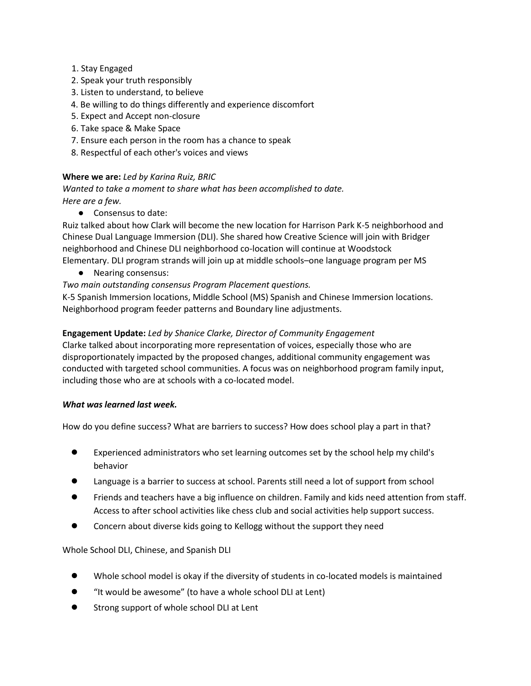- 1. Stay Engaged
- 2. Speak your truth responsibly
- 3. Listen to understand, to believe
- 4. Be willing to do things differently and experience discomfort
- 5. Expect and Accept non-closure
- 6. Take space & Make Space
- 7. Ensure each person in the room has a chance to speak
- 8. Respectful of each other's voices and views

## **Where we are:** *Led by Karina Ruiz, BRIC*

*Wanted to take a moment to share what has been accomplished to date. Here are a few.*

● Consensus to date:

Ruiz talked about how Clark will become the new location for Harrison Park K-5 neighborhood and Chinese Dual Language Immersion (DLI). She shared how Creative Science will join with Bridger neighborhood and Chinese DLI neighborhood co-location will continue at Woodstock Elementary. DLI program strands will join up at middle schools–one language program per MS

- Nearing consensus:
- *Two main outstanding consensus Program Placement questions.*

K-5 Spanish Immersion locations, Middle School (MS) Spanish and Chinese Immersion locations. Neighborhood program feeder patterns and Boundary line adjustments.

## **Engagement Update:** *Led by Shanice Clarke, Director of Community Engagement*

Clarke talked about incorporating more representation of voices, especially those who are disproportionately impacted by the proposed changes, additional community engagement was conducted with targeted school communities. A focus was on neighborhood program family input, including those who are at schools with a co-located model.

### *What was learned last week.*

How do you define success? What are barriers to success? How does school play a part in that?

- Experienced administrators who set learning outcomes set by the school help my child's behavior
- Language is a barrier to success at school. Parents still need a lot of support from school
- Friends and teachers have a big influence on children. Family and kids need attention from staff. Access to after school activities like chess club and social activities help support success.
- Concern about diverse kids going to Kellogg without the support they need

### Whole School DLI, Chinese, and Spanish DLI

- Whole school model is okay if the diversity of students in co-located models is maintained
- "It would be awesome" (to have a whole school DLI at Lent)
- Strong support of whole school DLI at Lent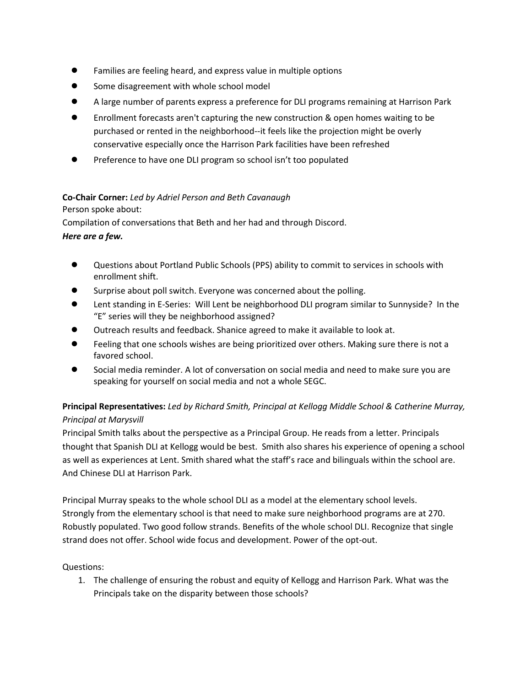- Families are feeling heard, and express value in multiple options
- Some disagreement with whole school model
- A large number of parents express a preference for DLI programs remaining at Harrison Park
- Enrollment forecasts aren't capturing the new construction & open homes waiting to be purchased or rented in the neighborhood--it feels like the projection might be overly conservative especially once the Harrison Park facilities have been refreshed
- Preference to have one DLI program so school isn't too populated

# **Co-Chair Corner:** *Led by Adriel Person and Beth Cavanaugh*

Person spoke about:

Compilation of conversations that Beth and her had and through Discord. *Here are a few.*

- Questions about Portland Public Schools (PPS) ability to commit to services in schools with enrollment shift.
- Surprise about poll switch. Everyone was concerned about the polling.
- Lent standing in E-Series: Will Lent be neighborhood DLI program similar to Sunnyside? In the "E" series will they be neighborhood assigned?
- Outreach results and feedback. Shanice agreed to make it available to look at.
- Feeling that one schools wishes are being prioritized over others. Making sure there is not a favored school.
- Social media reminder. A lot of conversation on social media and need to make sure you are speaking for yourself on social media and not a whole SEGC.

# **Principal Representatives:** *Led by Richard Smith, Principal at Kellogg Middle School & Catherine Murray, Principal at Marysvill*

Principal Smith talks about the perspective as a Principal Group. He reads from a letter. Principals thought that Spanish DLI at Kellogg would be best. Smith also shares his experience of opening a school as well as experiences at Lent. Smith shared what the staff's race and bilinguals within the school are. And Chinese DLI at Harrison Park.

Principal Murray speaks to the whole school DLI as a model at the elementary school levels. Strongly from the elementary school is that need to make sure neighborhood programs are at 270. Robustly populated. Two good follow strands. Benefits of the whole school DLI. Recognize that single strand does not offer. School wide focus and development. Power of the opt-out.

# Questions:

1. The challenge of ensuring the robust and equity of Kellogg and Harrison Park. What was the Principals take on the disparity between those schools?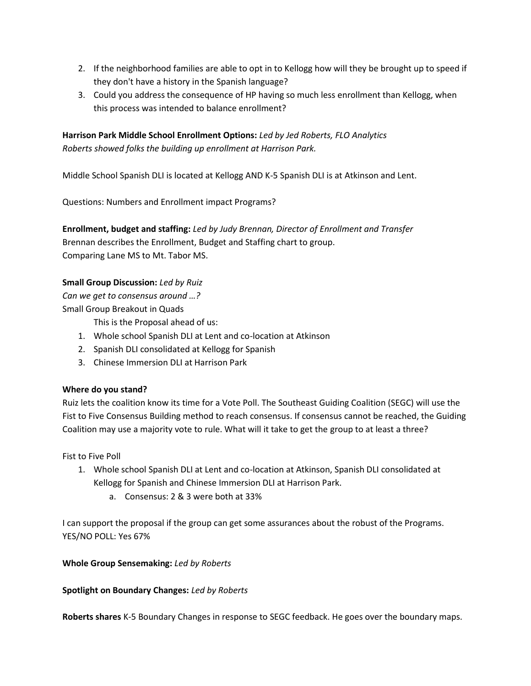- 2. If the neighborhood families are able to opt in to Kellogg how will they be brought up to speed if they don't have a history in the Spanish language?
- 3. Could you address the consequence of HP having so much less enrollment than Kellogg, when this process was intended to balance enrollment?

**Harrison Park Middle School Enrollment Options:** *Led by Jed Roberts, FLO Analytics Roberts showed folks the building up enrollment at Harrison Park.*

Middle School Spanish DLI is located at Kellogg AND K-5 Spanish DLI is at Atkinson and Lent.

Questions: Numbers and Enrollment impact Programs?

**Enrollment, budget and staffing:** *Led by Judy Brennan, Director of Enrollment and Transfer* Brennan describes the Enrollment, Budget and Staffing chart to group. Comparing Lane MS to Mt. Tabor MS.

## **Small Group Discussion:** *Led by Ruiz*

*Can we get to consensus around …?* Small Group Breakout in Quads

This is the Proposal ahead of us:

- 1. Whole school Spanish DLI at Lent and co-location at Atkinson
- 2. Spanish DLI consolidated at Kellogg for Spanish
- 3. Chinese Immersion DLI at Harrison Park

# **Where do you stand?**

Ruiz lets the coalition know its time for a Vote Poll. The Southeast Guiding Coalition (SEGC) will use the Fist to Five Consensus Building method to reach consensus. If consensus cannot be reached, the Guiding Coalition may use a majority vote to rule. What will it take to get the group to at least a three?

Fist to Five Poll

- 1. Whole school Spanish DLI at Lent and co-location at Atkinson, Spanish DLI consolidated at Kellogg for Spanish and Chinese Immersion DLI at Harrison Park.
	- a. Consensus: 2 & 3 were both at 33%

I can support the proposal if the group can get some assurances about the robust of the Programs. YES/NO POLL: Yes 67%

**Whole Group Sensemaking:** *Led by Roberts*

**Spotlight on Boundary Changes:** *Led by Roberts*

**Roberts shares** K-5 Boundary Changes in response to SEGC feedback. He goes over the boundary maps.